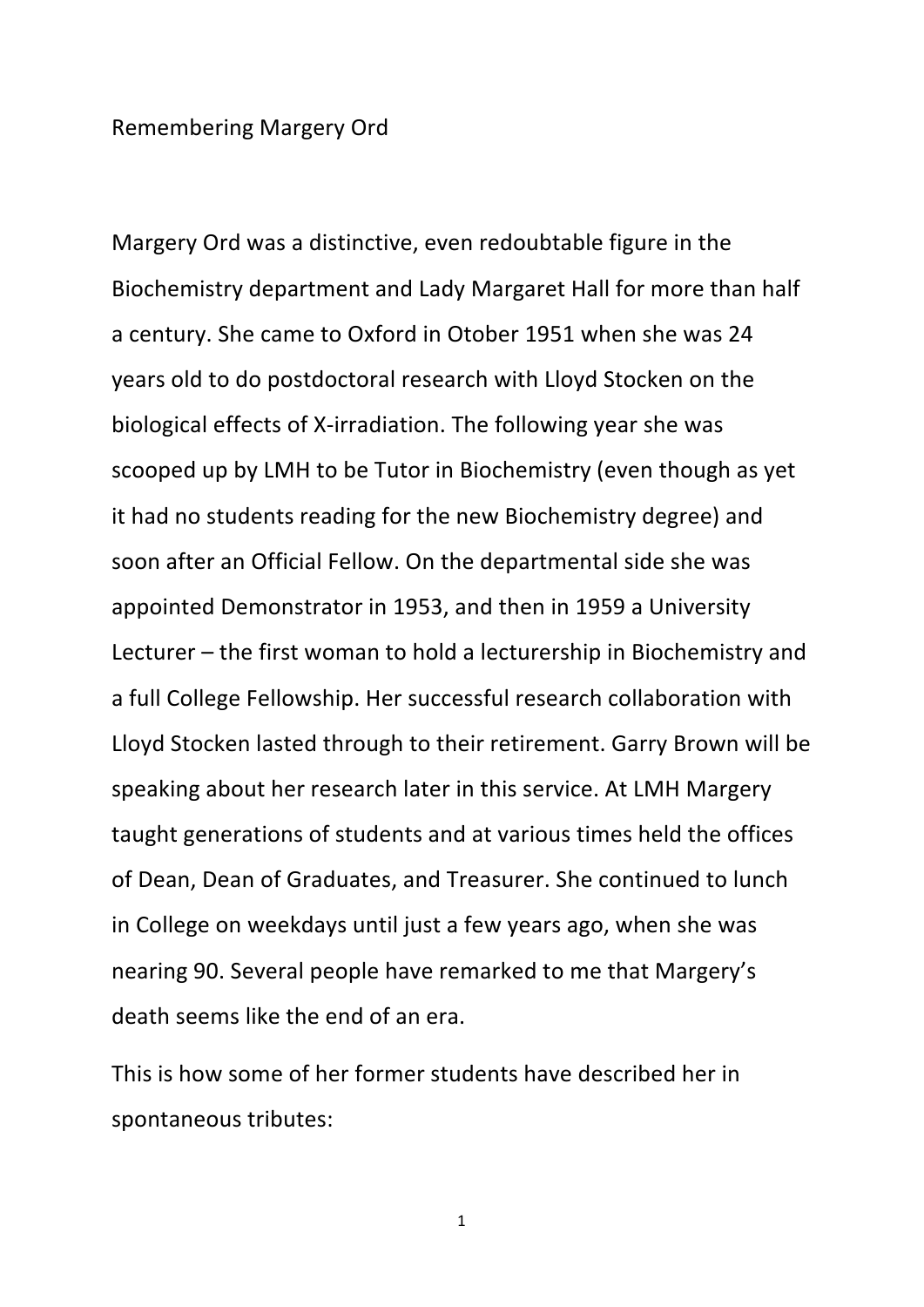## Remembering Margery Ord

Margery Ord was a distinctive, even redoubtable figure in the Biochemistry department and Lady Margaret Hall for more than half a century. She came to Oxford in Otober 1951 when she was 24 years old to do postdoctoral research with Lloyd Stocken on the biological effects of X-irradiation. The following year she was scooped up by LMH to be Tutor in Biochemistry (even though as yet it had no students reading for the new Biochemistry degree) and soon after an Official Fellow. On the departmental side she was appointed Demonstrator in 1953, and then in 1959 a University Lecturer  $-$  the first woman to hold a lecturership in Biochemistry and a full College Fellowship. Her successful research collaboration with Lloyd Stocken lasted through to their retirement. Garry Brown will be speaking about her research later in this service. At LMH Margery taught generations of students and at various times held the offices of Dean, Dean of Graduates, and Treasurer. She continued to lunch in College on weekdays until just a few years ago, when she was nearing 90. Several people have remarked to me that Margery's death seems like the end of an era.

This is how some of her former students have described her in spontaneous tributes: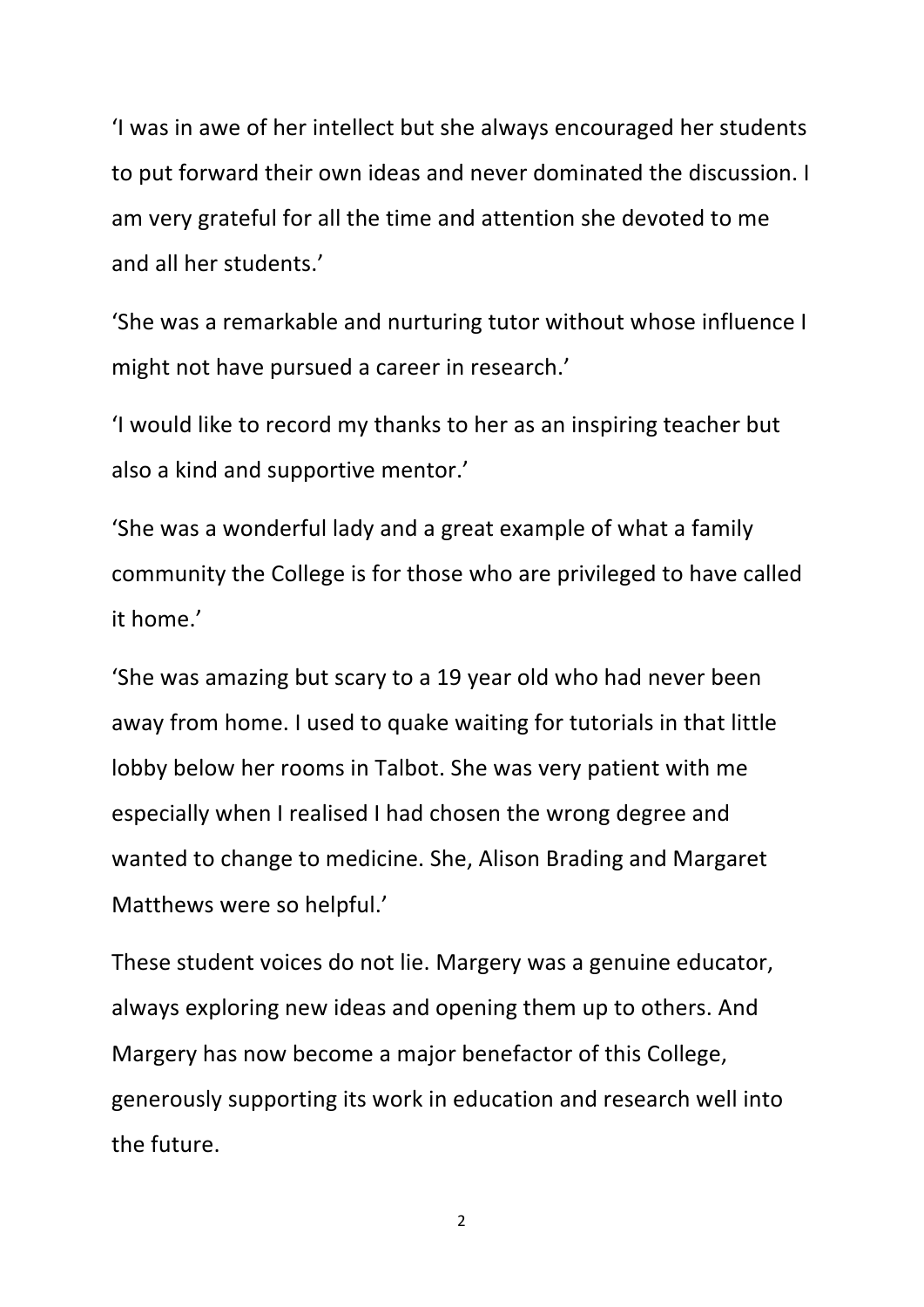I was in awe of her intellect but she always encouraged her students to put forward their own ideas and never dominated the discussion. I am very grateful for all the time and attention she devoted to me and all her students.'

'She was a remarkable and nurturing tutor without whose influence I might not have pursued a career in research.'

'I would like to record my thanks to her as an inspiring teacher but also a kind and supportive mentor.'

'She was a wonderful lady and a great example of what a family community the College is for those who are privileged to have called it home.'

'She was amazing but scary to a 19 year old who had never been away from home. I used to quake waiting for tutorials in that little lobby below her rooms in Talbot. She was very patient with me especially when I realised I had chosen the wrong degree and wanted to change to medicine. She, Alison Brading and Margaret Matthews were so helpful.'

These student voices do not lie. Margery was a genuine educator, always exploring new ideas and opening them up to others. And Margery has now become a major benefactor of this College, generously supporting its work in education and research well into the future.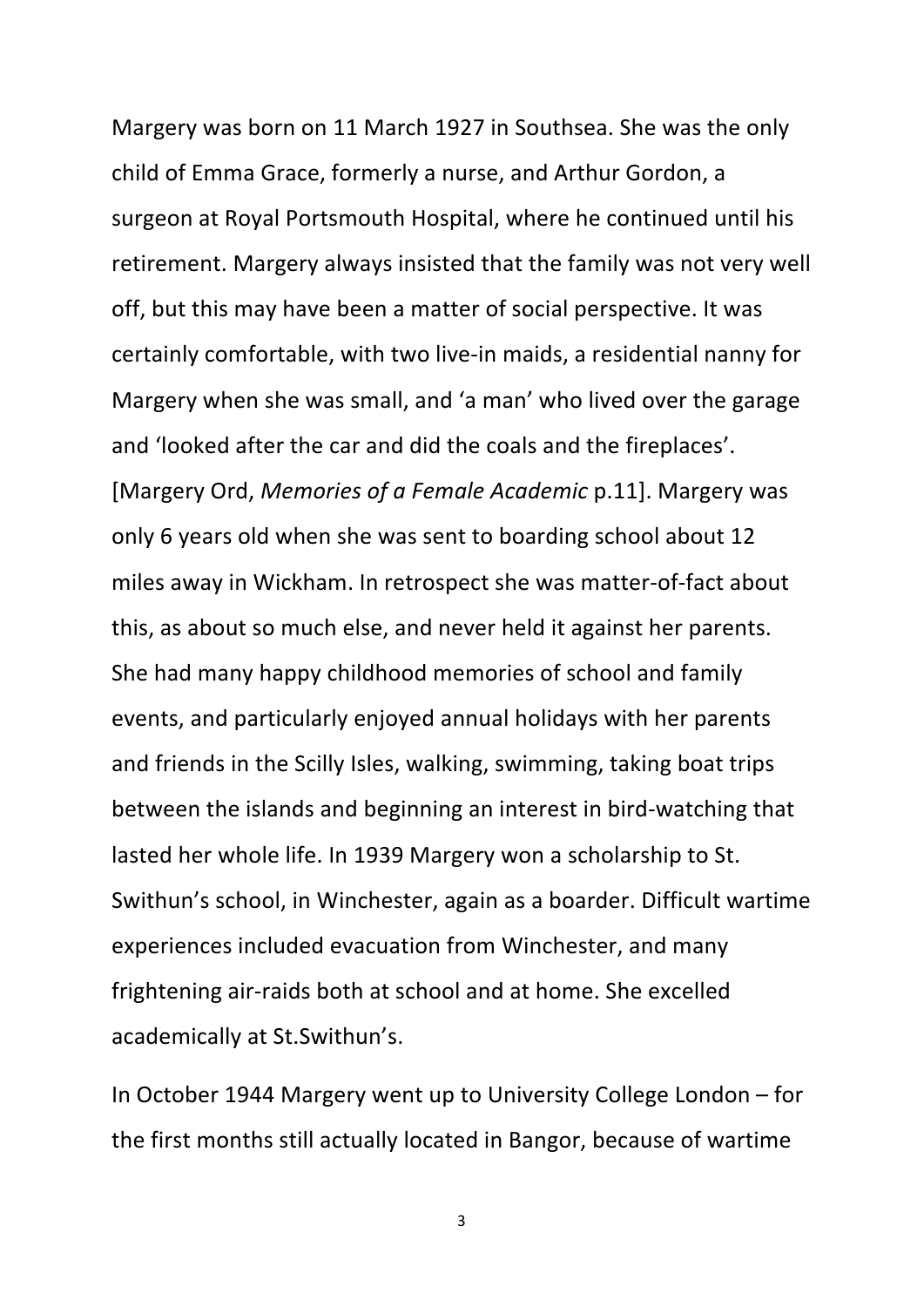Margery was born on 11 March 1927 in Southsea. She was the only child of Emma Grace, formerly a nurse, and Arthur Gordon, a surgeon at Royal Portsmouth Hospital, where he continued until his retirement. Margery always insisted that the family was not very well off, but this may have been a matter of social perspective. It was certainly comfortable, with two live-in maids, a residential nanny for Margery when she was small, and 'a man' who lived over the garage and 'looked after the car and did the coals and the fireplaces'. [Margery Ord, *Memories of a Female Academic* p.11]. Margery was only 6 years old when she was sent to boarding school about 12 miles away in Wickham. In retrospect she was matter-of-fact about this, as about so much else, and never held it against her parents. She had many happy childhood memories of school and family events, and particularly enjoyed annual holidays with her parents and friends in the Scilly Isles, walking, swimming, taking boat trips between the islands and beginning an interest in bird-watching that lasted her whole life. In 1939 Margery won a scholarship to St. Swithun's school, in Winchester, again as a boarder. Difficult wartime experiences included evacuation from Winchester, and many frightening air-raids both at school and at home. She excelled academically at St.Swithun's.

In October 1944 Margery went up to University College London – for the first months still actually located in Bangor, because of wartime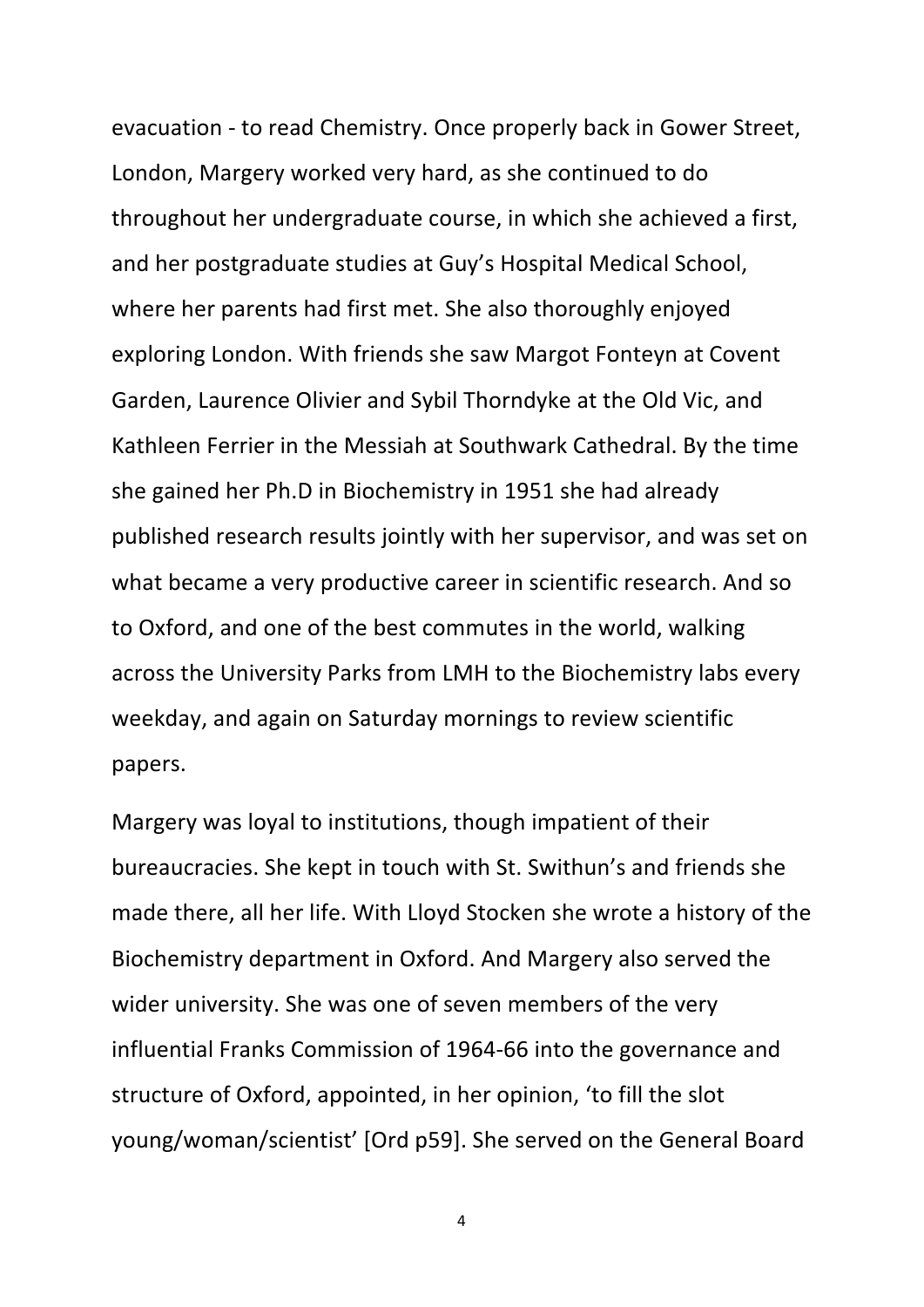evacuation - to read Chemistry. Once properly back in Gower Street, London, Margery worked very hard, as she continued to do throughout her undergraduate course, in which she achieved a first, and her postgraduate studies at Guy's Hospital Medical School, where her parents had first met. She also thoroughly enjoyed exploring London. With friends she saw Margot Fonteyn at Covent Garden, Laurence Olivier and Sybil Thorndyke at the Old Vic, and Kathleen Ferrier in the Messiah at Southwark Cathedral. By the time she gained her Ph.D in Biochemistry in 1951 she had already published research results jointly with her supervisor, and was set on what became a very productive career in scientific research. And so to Oxford, and one of the best commutes in the world, walking across the University Parks from LMH to the Biochemistry labs every weekday, and again on Saturday mornings to review scientific papers.

Margery was loyal to institutions, though impatient of their bureaucracies. She kept in touch with St. Swithun's and friends she made there, all her life. With Lloyd Stocken she wrote a history of the Biochemistry department in Oxford. And Margery also served the wider university. She was one of seven members of the very influential Franks Commission of 1964-66 into the governance and structure of Oxford, appointed, in her opinion, 'to fill the slot young/woman/scientist' [Ord p59]. She served on the General Board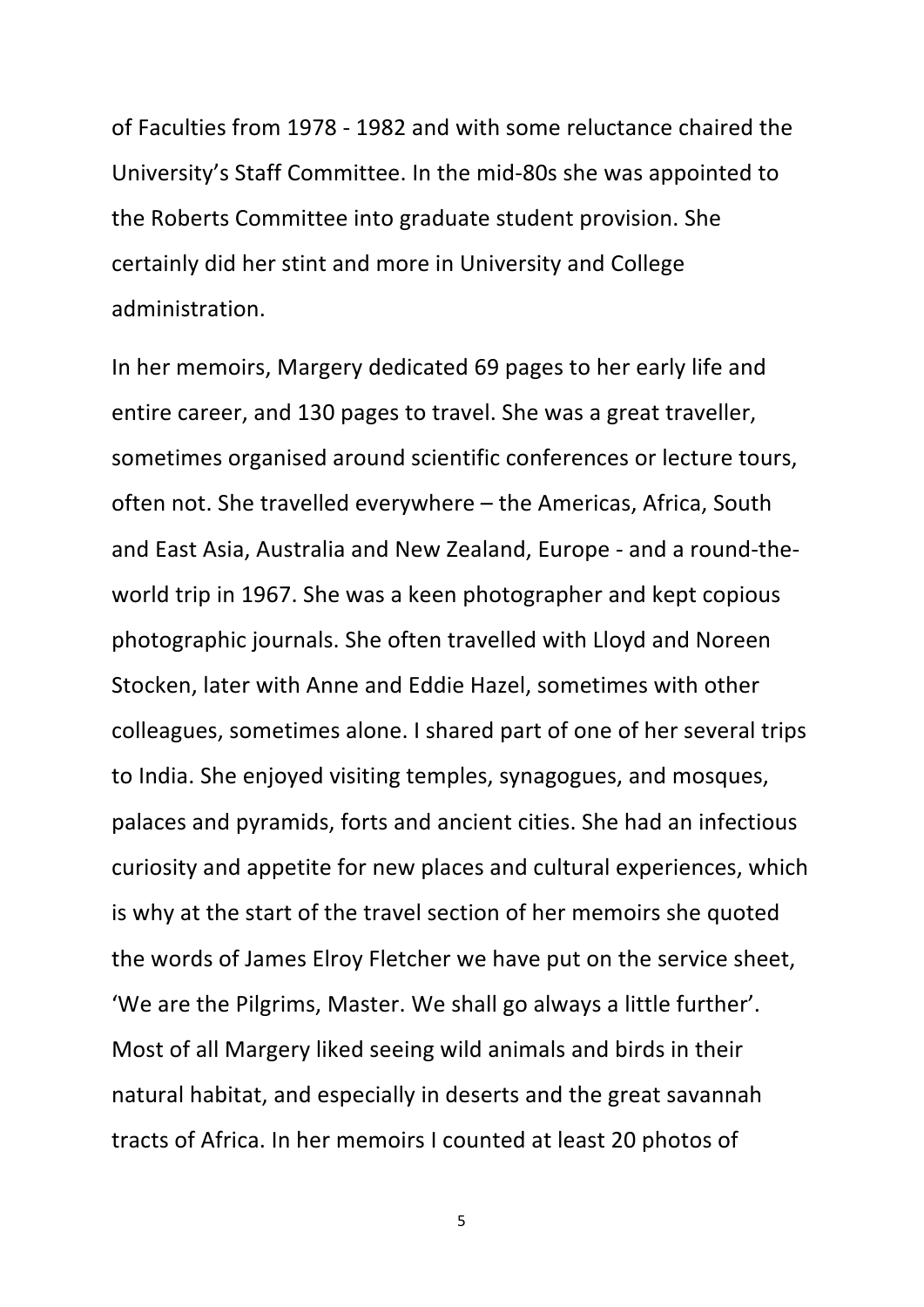of Faculties from 1978 - 1982 and with some reluctance chaired the University's Staff Committee. In the mid-80s she was appointed to the Roberts Committee into graduate student provision. She certainly did her stint and more in University and College administration.

In her memoirs, Margery dedicated 69 pages to her early life and entire career, and 130 pages to travel. She was a great traveller, sometimes organised around scientific conferences or lecture tours, often not. She travelled everywhere – the Americas, Africa, South and East Asia, Australia and New Zealand, Europe - and a round-theworld trip in 1967. She was a keen photographer and kept copious photographic journals. She often travelled with Lloyd and Noreen Stocken, later with Anne and Eddie Hazel, sometimes with other colleagues, sometimes alone. I shared part of one of her several trips to India. She enjoyed visiting temples, synagogues, and mosques, palaces and pyramids, forts and ancient cities. She had an infectious curiosity and appetite for new places and cultural experiences, which is why at the start of the travel section of her memoirs she quoted the words of James Elroy Fletcher we have put on the service sheet, 'We are the Pilgrims, Master. We shall go always a little further'. Most of all Margery liked seeing wild animals and birds in their natural habitat, and especially in deserts and the great savannah tracts of Africa. In her memoirs I counted at least 20 photos of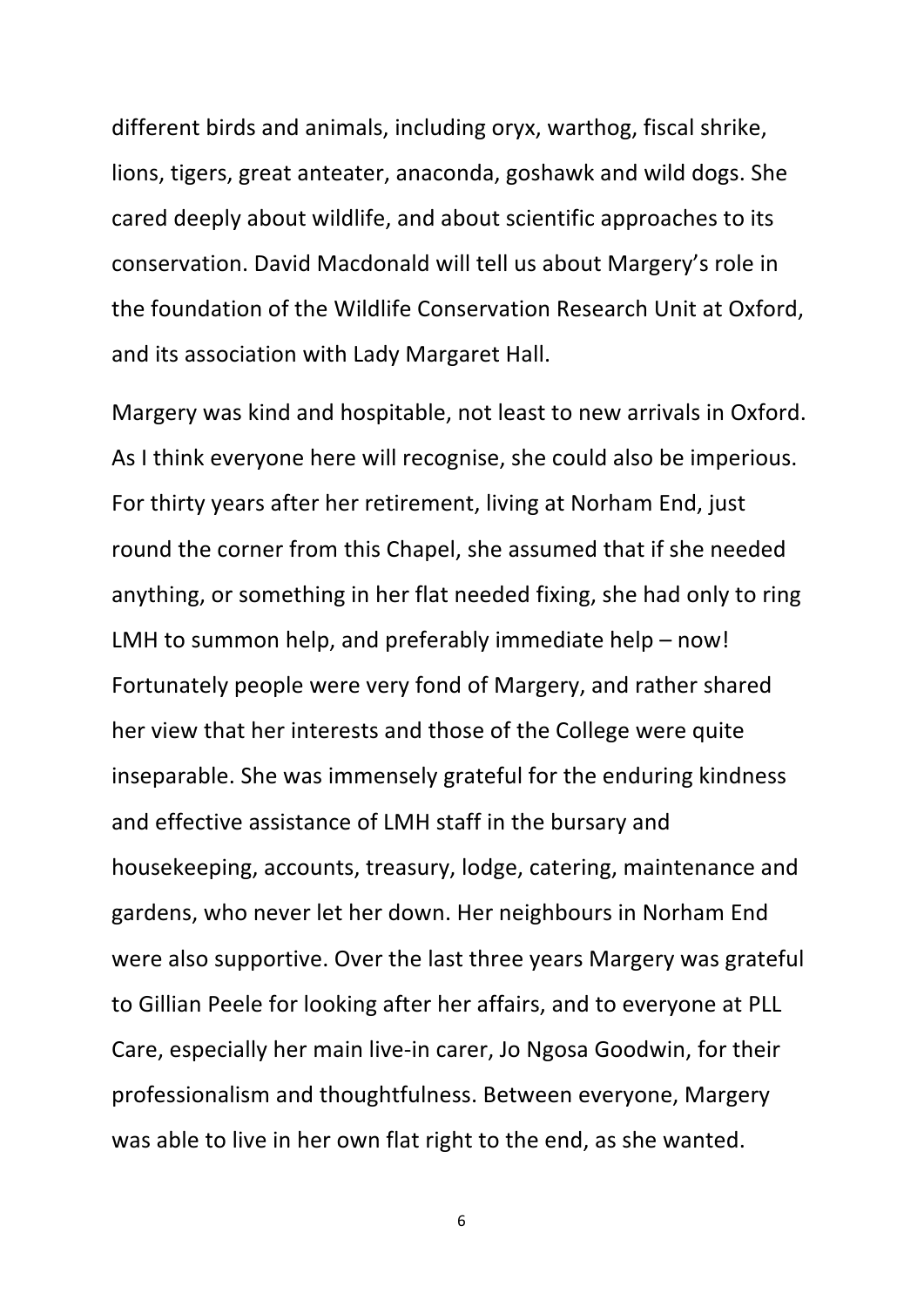different birds and animals, including oryx, warthog, fiscal shrike, lions, tigers, great anteater, anaconda, goshawk and wild dogs. She cared deeply about wildlife, and about scientific approaches to its conservation. David Macdonald will tell us about Margery's role in the foundation of the Wildlife Conservation Research Unit at Oxford, and its association with Lady Margaret Hall.

Margery was kind and hospitable, not least to new arrivals in Oxford. As I think everyone here will recognise, she could also be imperious. For thirty years after her retirement, living at Norham End, just round the corner from this Chapel, she assumed that if she needed anything, or something in her flat needed fixing, she had only to ring LMH to summon help, and preferably immediate  $help - now!$ Fortunately people were very fond of Margery, and rather shared her view that her interests and those of the College were quite inseparable. She was immensely grateful for the enduring kindness and effective assistance of LMH staff in the bursary and housekeeping, accounts, treasury, lodge, catering, maintenance and gardens, who never let her down. Her neighbours in Norham End were also supportive. Over the last three years Margery was grateful to Gillian Peele for looking after her affairs, and to everyone at PLL Care, especially her main live-in carer, Jo Ngosa Goodwin, for their professionalism and thoughtfulness. Between everyone, Margery was able to live in her own flat right to the end, as she wanted.